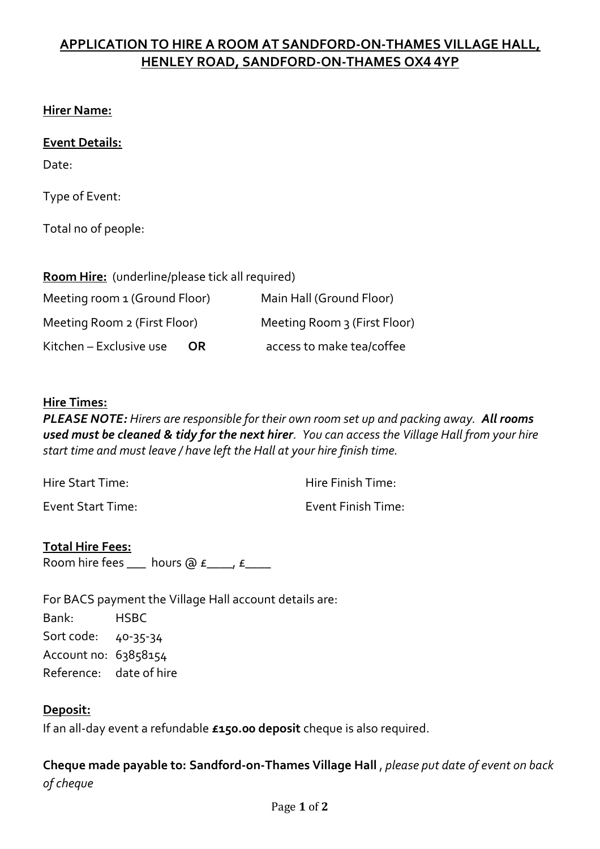# **APPLICATION TO HIRE A ROOM AT SANDFORD-ON-THAMES VILLAGE HALL, HENLEY ROAD, SANDFORD-ON-THAMES OX4 4YP**

## **Hirer Name:**

## **Event Details:**

Date:

Type of Event:

Total no of people:

| <b>Room Hire:</b> (underline/please tick all required) |                              |
|--------------------------------------------------------|------------------------------|
| Meeting room 1 (Ground Floor)                          | Main Hall (Ground Floor)     |
| Meeting Room 2 (First Floor)                           | Meeting Room 3 (First Floor) |
| Kitchen - Exclusive use<br>OR.                         | access to make tea/coffee    |

#### **Hire Times:**

*PLEASE NOTE: Hirers are responsible for their own room set up and packing away. All rooms used must be cleaned & tidy for the next hirer. You can access the Village Hall from your hire start time and must leave / have left the Hall at your hire finish time.* 

Hire Start Time: Hire Finish Time:

Event Start Time: Event Finish Time:

**Total Hire Fees:** Room hire fees \_\_\_ hours @  $f$ \_\_\_\_,  $f$ \_\_\_\_

For BACS payment the Village Hall account details are: Bank: HSBC Sort code: 40-35-34 Account no: 63858154 Reference: date of hire

#### **Deposit:**

If an all-day event a refundable **£150.00 deposit** cheque is also required.

**Cheque made payable to: Sandford-on-Thames Village Hall** , *please put date of event on back of cheque*